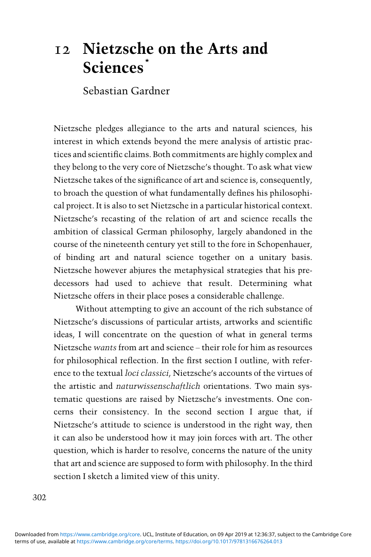# 12 Nietzsche on the Arts and Sciences<sup>\*</sup>

Sebastian Gardner

Nietzsche pledges allegiance to the arts and natural sciences, his interest in which extends beyond the mere analysis of artistic practices and scientific claims. Both commitments are highly complex and they belong to the very core of Nietzsche's thought. To ask what view Nietzsche takes of the significance of art and science is, consequently, to broach the question of what fundamentally defines his philosophical project. It is also to set Nietzsche in a particular historical context. Nietzsche's recasting of the relation of art and science recalls the ambition of classical German philosophy, largely abandoned in the course of the nineteenth century yet still to the fore in Schopenhauer, of binding art and natural science together on a unitary basis. Nietzsche however abjures the metaphysical strategies that his predecessors had used to achieve that result. Determining what Nietzsche offers in their place poses a considerable challenge.

Without attempting to give an account of the rich substance of Nietzsche's discussions of particular artists, artworks and scientific ideas, I will concentrate on the question of what in general terms Nietzsche wants from art and science – their role for him as resources for philosophical reflection. In the first section I outline, with reference to the textual loci classici, Nietzsche's accounts of the virtues of the artistic and naturwissenschaftlich orientations. Two main systematic questions are raised by Nietzsche's investments. One concerns their consistency. In the second section I argue that, if Nietzsche's attitude to science is understood in the right way, then it can also be understood how it may join forces with art. The other question, which is harder to resolve, concerns the nature of the unity that art and science are supposed to form with philosophy. In the third section I sketch a limited view of this unity.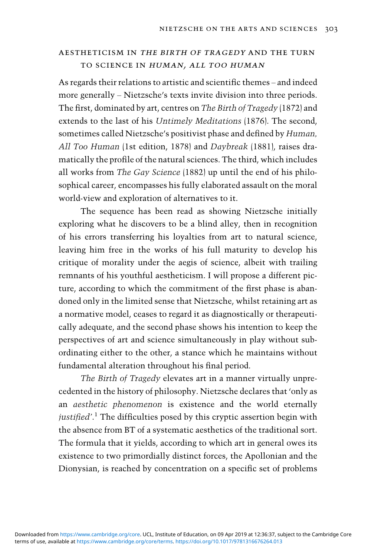## aestheticism in the birth of tragedy and the turn TO SCIENCE IN HUMAN, ALL TOO HUMAN

As regards their relations to artistic and scientific themes – and indeed more generally – Nietzsche's texts invite division into three periods. The first, dominated by art, centres on The Birth of Tragedy (1872) and extends to the last of his Untimely Meditations (1876). The second, sometimes called Nietzsche's positivist phase and defined by Human, All Too Human (1st edition, 1878) and Daybreak (1881), raises dramatically the profile of the natural sciences. The third, which includes all works from The Gay Science (1882) up until the end of his philosophical career, encompasses his fully elaborated assault on the moral world-view and exploration of alternatives to it.

The sequence has been read as showing Nietzsche initially exploring what he discovers to be a blind alley, then in recognition of his errors transferring his loyalties from art to natural science, leaving him free in the works of his full maturity to develop his critique of morality under the aegis of science, albeit with trailing remnants of his youthful aestheticism. I will propose a different picture, according to which the commitment of the first phase is abandoned only in the limited sense that Nietzsche, whilst retaining art as a normative model, ceases to regard it as diagnostically or therapeutically adequate, and the second phase shows his intention to keep the perspectives of art and science simultaneously in play without subordinating either to the other, a stance which he maintains without fundamental alteration throughout his final period.

The Birth of Tragedy elevates art in a manner virtually unprecedented in the history of philosophy. Nietzsche declares that 'only as an aesthetic phenomenon is existence and the world eternally justified'.<sup>1</sup> The difficulties posed by this cryptic assertion begin with the absence from BT of a systematic aesthetics of the traditional sort. The formula that it yields, according to which art in general owes its existence to two primordially distinct forces, the Apollonian and the Dionysian, is reached by concentration on a specific set of problems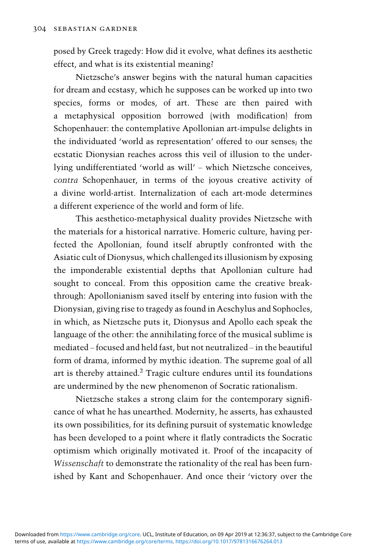posed by Greek tragedy: How did it evolve, what defines its aesthetic effect, and what is its existential meaning?

Nietzsche's answer begins with the natural human capacities for dream and ecstasy, which he supposes can be worked up into two species, forms or modes, of art. These are then paired with a metaphysical opposition borrowed (with modification) from Schopenhauer: the contemplative Apollonian art-impulse delights in the individuated 'world as representation' offered to our senses; the ecstatic Dionysian reaches across this veil of illusion to the underlying undifferentiated 'world as will' – which Nietzsche conceives, contra Schopenhauer, in terms of the joyous creative activity of a divine world-artist. Internalization of each art-mode determines a different experience of the world and form of life.

This aesthetico-metaphysical duality provides Nietzsche with the materials for a historical narrative. Homeric culture, having perfected the Apollonian, found itself abruptly confronted with the Asiatic cult of Dionysus, which challenged its illusionism by exposing the imponderable existential depths that Apollonian culture had sought to conceal. From this opposition came the creative breakthrough: Apollonianism saved itself by entering into fusion with the Dionysian, giving rise to tragedy as found in Aeschylus and Sophocles, in which, as Nietzsche puts it, Dionysus and Apollo each speak the language of the other: the annihilating force of the musical sublime is mediated – focused and held fast, but not neutralized – in the beautiful form of drama, informed by mythic ideation. The supreme goal of all art is thereby attained.2 Tragic culture endures until its foundations are undermined by the new phenomenon of Socratic rationalism.

Nietzsche stakes a strong claim for the contemporary significance of what he has unearthed. Modernity, he asserts, has exhausted its own possibilities, for its defining pursuit of systematic knowledge has been developed to a point where it flatly contradicts the Socratic optimism which originally motivated it. Proof of the incapacity of Wissenschaft to demonstrate the rationality of the real has been furnished by Kant and Schopenhauer. And once their 'victory over the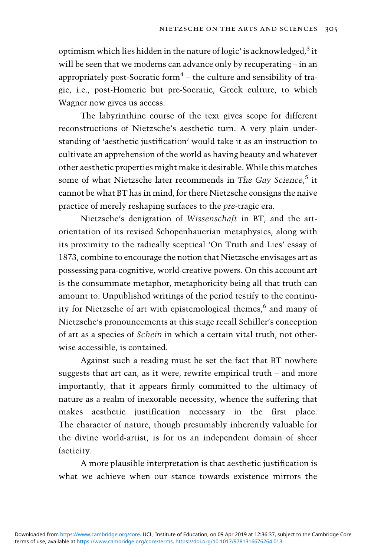optimism which lies hidden in the nature of logic' is acknowledged, $3$  it will be seen that we moderns can advance only by recuperating – in an appropriately post-Socratic form $4$  – the culture and sensibility of tragic, i.e., post-Homeric but pre-Socratic, Greek culture, to which Wagner now gives us access.

The labyrinthine course of the text gives scope for different reconstructions of Nietzsche's aesthetic turn. A very plain understanding of 'aesthetic justification' would take it as an instruction to cultivate an apprehension of the world as having beauty and whatever other aesthetic properties might make it desirable. While this matches some of what Nietzsche later recommends in The Gay Science,<sup>5</sup> it cannot be what BT has in mind, for there Nietzsche consigns the naive practice of merely reshaping surfaces to the pre-tragic era.

Nietzsche's denigration of Wissenschaft in BT, and the artorientation of its revised Schopenhauerian metaphysics, along with its proximity to the radically sceptical 'On Truth and Lies' essay of 1873, combine to encourage the notion that Nietzsche envisages art as possessing para-cognitive, world-creative powers. On this account art is the consummate metaphor, metaphoricity being all that truth can amount to. Unpublished writings of the period testify to the continuity for Nietzsche of art with epistemological themes,<sup>6</sup> and many of Nietzsche's pronouncements at this stage recall Schiller's conception of art as a species of Schein in which a certain vital truth, not otherwise accessible, is contained.

Against such a reading must be set the fact that BT nowhere suggests that art can, as it were, rewrite empirical truth – and more importantly, that it appears firmly committed to the ultimacy of nature as a realm of inexorable necessity, whence the suffering that makes aesthetic justification necessary in the first place. The character of nature, though presumably inherently valuable for the divine world-artist, is for us an independent domain of sheer facticity.

A more plausible interpretation is that aesthetic justification is what we achieve when our stance towards existence mirrors the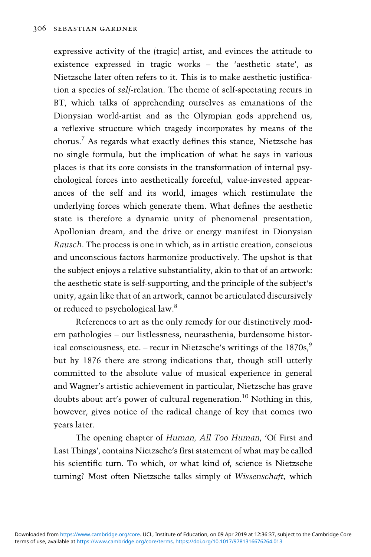expressive activity of the (tragic) artist, and evinces the attitude to existence expressed in tragic works – the 'aesthetic state', as Nietzsche later often refers to it. This is to make aesthetic justification a species of self-relation. The theme of self-spectating recurs in BT, which talks of apprehending ourselves as emanations of the Dionysian world-artist and as the Olympian gods apprehend us, a reflexive structure which tragedy incorporates by means of the chorus.<sup>7</sup> As regards what exactly defines this stance, Nietzsche has no single formula, but the implication of what he says in various places is that its core consists in the transformation of internal psychological forces into aesthetically forceful, value-invested appearances of the self and its world, images which restimulate the underlying forces which generate them. What defines the aesthetic state is therefore a dynamic unity of phenomenal presentation, Apollonian dream, and the drive or energy manifest in Dionysian Rausch. The process is one in which, as in artistic creation, conscious and unconscious factors harmonize productively. The upshot is that the subject enjoys a relative substantiality, akin to that of an artwork: the aesthetic state is self-supporting, and the principle of the subject's unity, again like that of an artwork, cannot be articulated discursively or reduced to psychological law.8

References to art as the only remedy for our distinctively modern pathologies – our listlessness, neurasthenia, burdensome historical consciousness, etc. – recur in Nietzsche's writings of the  $1870s$ ,  $\frac{9}{2}$ but by 1876 there are strong indications that, though still utterly committed to the absolute value of musical experience in general and Wagner's artistic achievement in particular, Nietzsche has grave doubts about art's power of cultural regeneration.<sup>10</sup> Nothing in this, however, gives notice of the radical change of key that comes two years later.

The opening chapter of Human, All Too Human, 'Of First and Last Things', contains Nietzsche's first statement of what may be called his scientific turn. To which, or what kind of, science is Nietzsche turning? Most often Nietzsche talks simply of Wissenschaft, which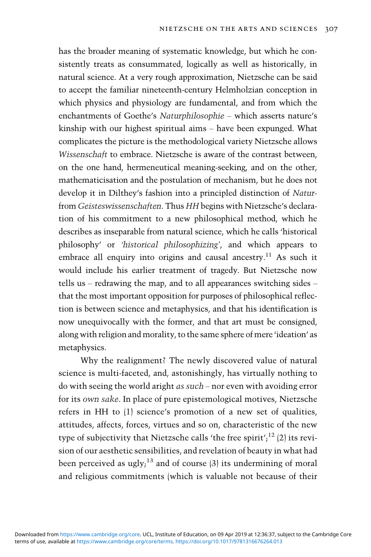has the broader meaning of systematic knowledge, but which he consistently treats as consummated, logically as well as historically, in natural science. At a very rough approximation, Nietzsche can be said to accept the familiar nineteenth-century Helmholzian conception in which physics and physiology are fundamental, and from which the enchantments of Goethe's Naturphilosophie – which asserts nature's kinship with our highest spiritual aims – have been expunged. What complicates the picture is the methodological variety Nietzsche allows Wissenschaft to embrace. Nietzsche is aware of the contrast between, on the one hand, hermeneutical meaning-seeking, and on the other, mathematicisation and the postulation of mechanism, but he does not develop it in Dilthey's fashion into a principled distinction of Naturfrom Geisteswissenschaften. Thus HH begins with Nietzsche's declaration of his commitment to a new philosophical method, which he describes as inseparable from natural science, which he calls 'historical philosophy' or 'historical philosophizing', and which appears to embrace all enquiry into origins and causal ancestry.<sup>11</sup> As such it would include his earlier treatment of tragedy. But Nietzsche now tells us – redrawing the map, and to all appearances switching sides – that the most important opposition for purposes of philosophical reflection is between science and metaphysics, and that his identification is now unequivocally with the former, and that art must be consigned, along with religion and morality, to the same sphere of mere 'ideation' as metaphysics.

Why the realignment? The newly discovered value of natural science is multi-faceted, and, astonishingly, has virtually nothing to do with seeing the world aright as such – nor even with avoiding error for its own sake. In place of pure epistemological motives, Nietzsche refers in HH to (1) science's promotion of a new set of qualities, attitudes, affects, forces, virtues and so on, characteristic of the new type of subjectivity that Nietzsche calls 'the free spirit';<sup>12</sup> (2) its revision of our aesthetic sensibilities, and revelation of beauty in what had been perceived as ugly; $^{13}$  and of course (3) its undermining of moral and religious commitments (which is valuable not because of their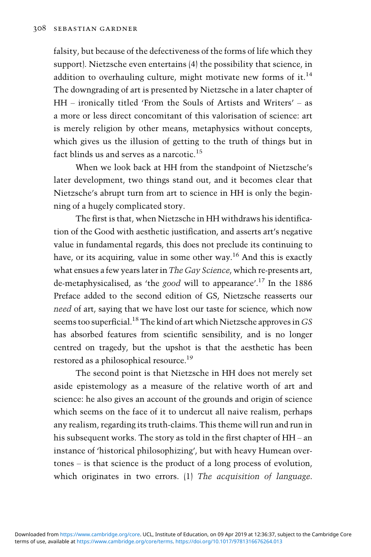falsity, but because of the defectiveness of the forms of life which they support). Nietzsche even entertains (4) the possibility that science, in addition to overhauling culture, might motivate new forms of it.<sup>14</sup> The downgrading of art is presented by Nietzsche in a later chapter of HH – ironically titled 'From the Souls of Artists and Writers' – as a more or less direct concomitant of this valorisation of science: art is merely religion by other means, metaphysics without concepts, which gives us the illusion of getting to the truth of things but in fact blinds us and serves as a narcotic.<sup>15</sup>

When we look back at HH from the standpoint of Nietzsche's later development, two things stand out, and it becomes clear that Nietzsche's abrupt turn from art to science in HH is only the beginning of a hugely complicated story.

The first is that, when Nietzsche in HH withdraws his identification of the Good with aesthetic justification, and asserts art's negative value in fundamental regards, this does not preclude its continuing to have, or its acquiring, value in some other way.<sup>16</sup> And this is exactly what ensues a few years later in The Gay Science, which re-presents art, de-metaphysicalised, as 'the good will to appearance'.<sup>17</sup> In the 1886 Preface added to the second edition of GS, Nietzsche reasserts our need of art, saying that we have lost our taste for science, which now seems too superficial.<sup>18</sup> The kind of art which Nietzsche approves in  $GS$ has absorbed features from scientific sensibility, and is no longer centred on tragedy, but the upshot is that the aesthetic has been restored as a philosophical resource.19

The second point is that Nietzsche in HH does not merely set aside epistemology as a measure of the relative worth of art and science: he also gives an account of the grounds and origin of science which seems on the face of it to undercut all naive realism, perhaps any realism, regarding its truth-claims. This theme will run and run in his subsequent works. The story as told in the first chapter of HH – an instance of 'historical philosophizing', but with heavy Humean overtones – is that science is the product of a long process of evolution, which originates in two errors. (1) The acquisition of language.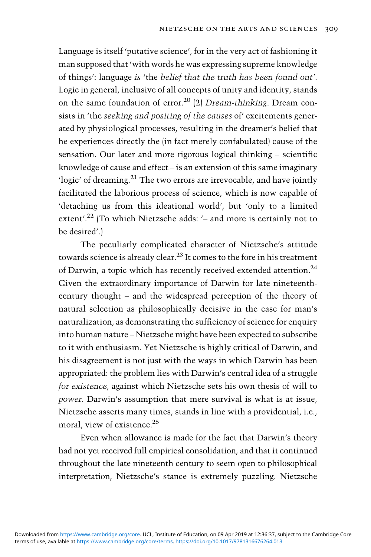Language is itself 'putative science', for in the very act of fashioning it man supposed that'with words he was expressing supreme knowledge of things': language is 'the belief that the truth has been found out'. Logic in general, inclusive of all concepts of unity and identity, stands on the same foundation of error.<sup>20</sup> (2) *Dream-thinking*. Dream consists in 'the seeking and positing of the causes of' excitements generated by physiological processes, resulting in the dreamer's belief that he experiences directly the (in fact merely confabulated) cause of the sensation. Our later and more rigorous logical thinking – scientific knowledge of cause and effect – is an extension of this same imaginary 'logic' of dreaming.<sup>21</sup> The two errors are irrevocable, and have jointly facilitated the laborious process of science, which is now capable of 'detaching us from this ideational world', but 'only to a limited extent'.<sup>22</sup> (To which Nietzsche adds: '- and more is certainly not to be desired'.)

The peculiarly complicated character of Nietzsche's attitude towards science is already clear.<sup>23</sup> It comes to the fore in his treatment of Darwin, a topic which has recently received extended attention.<sup>24</sup> Given the extraordinary importance of Darwin for late nineteenthcentury thought – and the widespread perception of the theory of natural selection as philosophically decisive in the case for man's naturalization, as demonstrating the sufficiency of science for enquiry into human nature – Nietzsche might have been expected to subscribe to it with enthusiasm. Yet Nietzsche is highly critical of Darwin, and his disagreement is not just with the ways in which Darwin has been appropriated: the problem lies with Darwin's central idea of a struggle for existence, against which Nietzsche sets his own thesis of will to power. Darwin's assumption that mere survival is what is at issue, Nietzsche asserts many times, stands in line with a providential, i.e., moral, view of existence.<sup>25</sup>

Even when allowance is made for the fact that Darwin's theory had not yet received full empirical consolidation, and that it continued throughout the late nineteenth century to seem open to philosophical interpretation, Nietzsche's stance is extremely puzzling. Nietzsche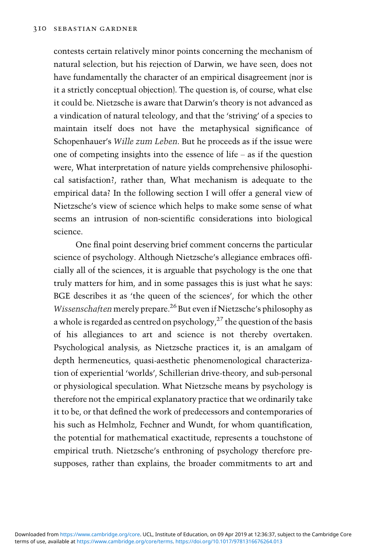contests certain relatively minor points concerning the mechanism of natural selection, but his rejection of Darwin, we have seen, does not have fundamentally the character of an empirical disagreement (nor is it a strictly conceptual objection). The question is, of course, what else it could be. Nietzsche is aware that Darwin's theory is not advanced as a vindication of natural teleology, and that the 'striving' of a species to maintain itself does not have the metaphysical significance of Schopenhauer's Wille zum Leben. But he proceeds as if the issue were one of competing insights into the essence of life – as if the question were, What interpretation of nature yields comprehensive philosophical satisfaction?, rather than, What mechanism is adequate to the empirical data? In the following section I will offer a general view of Nietzsche's view of science which helps to make some sense of what seems an intrusion of non-scientific considerations into biological science.

One final point deserving brief comment concerns the particular science of psychology. Although Nietzsche's allegiance embraces officially all of the sciences, it is arguable that psychology is the one that truly matters for him, and in some passages this is just what he says: BGE describes it as 'the queen of the sciences', for which the other Wissenschaften merely prepare.<sup>26</sup> But even if Nietzsche's philosophy as a whole is regarded as centred on psychology, $2^7$  the question of the basis of his allegiances to art and science is not thereby overtaken. Psychological analysis, as Nietzsche practices it, is an amalgam of depth hermeneutics, quasi-aesthetic phenomenological characterization of experiential 'worlds', Schillerian drive-theory, and sub-personal or physiological speculation. What Nietzsche means by psychology is therefore not the empirical explanatory practice that we ordinarily take it to be, or that defined the work of predecessors and contemporaries of his such as Helmholz, Fechner and Wundt, for whom quantification, the potential for mathematical exactitude, represents a touchstone of empirical truth. Nietzsche's enthroning of psychology therefore presupposes, rather than explains, the broader commitments to art and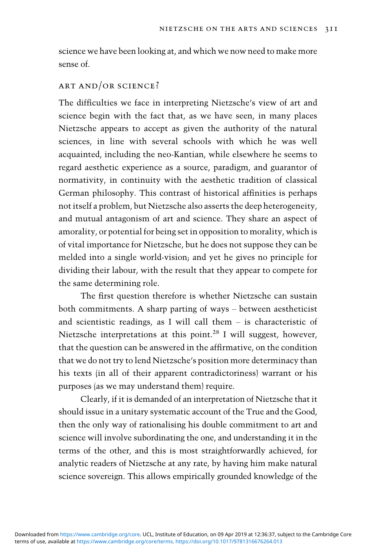science we have been looking at, and which we now need to make more sense of.

### art and/or science?

The difficulties we face in interpreting Nietzsche's view of art and science begin with the fact that, as we have seen, in many places Nietzsche appears to accept as given the authority of the natural sciences, in line with several schools with which he was well acquainted, including the neo-Kantian, while elsewhere he seems to regard aesthetic experience as a source, paradigm, and guarantor of normativity, in continuity with the aesthetic tradition of classical German philosophy. This contrast of historical affinities is perhaps not itself a problem, but Nietzsche also asserts the deep heterogeneity, and mutual antagonism of art and science. They share an aspect of amorality, or potential for being set in opposition to morality, which is of vital importance for Nietzsche, but he does not suppose they can be melded into a single world-vision; and yet he gives no principle for dividing their labour, with the result that they appear to compete for the same determining role.

The first question therefore is whether Nietzsche can sustain both commitments. A sharp parting of ways – between aestheticist and scientistic readings, as I will call them – is characteristic of Nietzsche interpretations at this point.28 I will suggest, however, that the question can be answered in the affirmative, on the condition that we do not try to lend Nietzsche's position more determinacy than his texts (in all of their apparent contradictoriness) warrant or his purposes (as we may understand them) require.

Clearly, if it is demanded of an interpretation of Nietzsche that it should issue in a unitary systematic account of the True and the Good, then the only way of rationalising his double commitment to art and science will involve subordinating the one, and understanding it in the terms of the other, and this is most straightforwardly achieved, for analytic readers of Nietzsche at any rate, by having him make natural science sovereign. This allows empirically grounded knowledge of the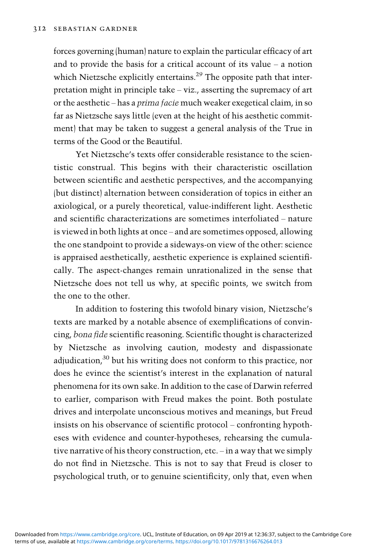forces governing (human) nature to explain the particular efficacy of art and to provide the basis for a critical account of its value – a notion which Nietzsche explicitly entertains.<sup>29</sup> The opposite path that interpretation might in principle take – viz., asserting the supremacy of art or the aesthetic – has a prima facie much weaker exegetical claim, in so far as Nietzsche says little (even at the height of his aesthetic commitment) that may be taken to suggest a general analysis of the True in terms of the Good or the Beautiful.

Yet Nietzsche's texts offer considerable resistance to the scientistic construal. This begins with their characteristic oscillation between scientific and aesthetic perspectives, and the accompanying (but distinct) alternation between consideration of topics in either an axiological, or a purely theoretical, value-indifferent light. Aesthetic and scientific characterizations are sometimes interfoliated – nature is viewed in both lights at once – and are sometimes opposed, allowing the one standpoint to provide a sideways-on view of the other: science is appraised aesthetically, aesthetic experience is explained scientifically. The aspect-changes remain unrationalized in the sense that Nietzsche does not tell us why, at specific points, we switch from the one to the other.

In addition to fostering this twofold binary vision, Nietzsche's texts are marked by a notable absence of exemplifications of convincing, bona fide scientific reasoning. Scientific thought is characterized by Nietzsche as involving caution, modesty and dispassionate adjudication, $30$  but his writing does not conform to this practice, nor does he evince the scientist's interest in the explanation of natural phenomena for its own sake. In addition to the case of Darwin referred to earlier, comparison with Freud makes the point. Both postulate drives and interpolate unconscious motives and meanings, but Freud insists on his observance of scientific protocol – confronting hypotheses with evidence and counter-hypotheses, rehearsing the cumulative narrative of his theory construction, etc. – in a way that we simply do not find in Nietzsche. This is not to say that Freud is closer to psychological truth, or to genuine scientificity, only that, even when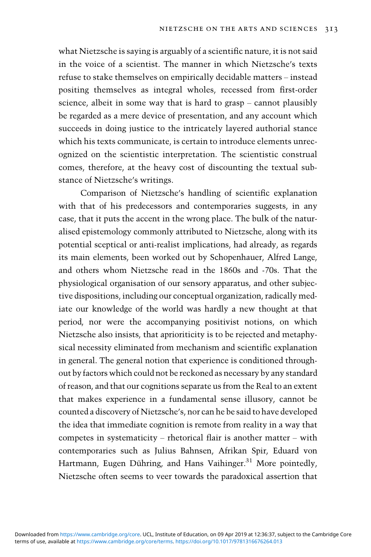what Nietzsche is saying is arguably of a scientific nature, it is not said in the voice of a scientist. The manner in which Nietzsche's texts refuse to stake themselves on empirically decidable matters – instead positing themselves as integral wholes, recessed from first-order science, albeit in some way that is hard to grasp – cannot plausibly be regarded as a mere device of presentation, and any account which succeeds in doing justice to the intricately layered authorial stance which his texts communicate, is certain to introduce elements unrecognized on the scientistic interpretation. The scientistic construal comes, therefore, at the heavy cost of discounting the textual substance of Nietzsche's writings.

Comparison of Nietzsche's handling of scientific explanation with that of his predecessors and contemporaries suggests, in any case, that it puts the accent in the wrong place. The bulk of the naturalised epistemology commonly attributed to Nietzsche, along with its potential sceptical or anti-realist implications, had already, as regards its main elements, been worked out by Schopenhauer, Alfred Lange, and others whom Nietzsche read in the 1860s and -70s. That the physiological organisation of our sensory apparatus, and other subjective dispositions, including our conceptual organization, radically mediate our knowledge of the world was hardly a new thought at that period, nor were the accompanying positivist notions, on which Nietzsche also insists, that aprioriticity is to be rejected and metaphysical necessity eliminated from mechanism and scientific explanation in general. The general notion that experience is conditioned throughout by factors which could not be reckoned as necessary by any standard of reason, and that our cognitions separate us from the Real to an extent that makes experience in a fundamental sense illusory, cannot be counted a discovery of Nietzsche's, nor can he be said to have developed the idea that immediate cognition is remote from reality in a way that competes in systematicity – rhetorical flair is another matter – with contemporaries such as Julius Bahnsen, Afrikan Spir, Eduard von Hartmann, Eugen Dühring, and Hans Vaihinger.<sup>31</sup> More pointedly, Nietzsche often seems to veer towards the paradoxical assertion that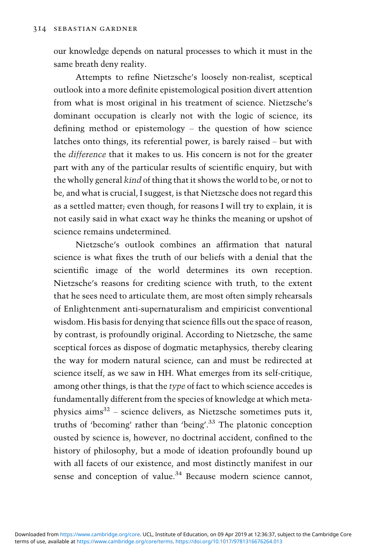our knowledge depends on natural processes to which it must in the same breath deny reality.

Attempts to refine Nietzsche's loosely non-realist, sceptical outlook into a more definite epistemological position divert attention from what is most original in his treatment of science. Nietzsche's dominant occupation is clearly not with the logic of science, its defining method or epistemology – the question of how science latches onto things, its referential power, is barely raised – but with the difference that it makes to us. His concern is not for the greater part with any of the particular results of scientific enquiry, but with the wholly general kind of thing that it shows the world to be, or not to be, and what is crucial, I suggest, is that Nietzsche does not regard this as a settled matter; even though, for reasons I will try to explain, it is not easily said in what exact way he thinks the meaning or upshot of science remains undetermined.

Nietzsche's outlook combines an affirmation that natural science is what fixes the truth of our beliefs with a denial that the scientific image of the world determines its own reception. Nietzsche's reasons for crediting science with truth, to the extent that he sees need to articulate them, are most often simply rehearsals of Enlightenment anti-supernaturalism and empiricist conventional wisdom. His basis for denying that science fills out the space of reason, by contrast, is profoundly original. According to Nietzsche, the same sceptical forces as dispose of dogmatic metaphysics, thereby clearing the way for modern natural science, can and must be redirected at science itself, as we saw in HH. What emerges from its self-critique, among other things, is that the type of fact to which science accedes is fundamentally different from the species of knowledge at which metaphysics  $\text{aims}^{32}$  – science delivers, as Nietzsche sometimes puts it, truths of 'becoming' rather than 'being'. <sup>33</sup> The platonic conception ousted by science is, however, no doctrinal accident, confined to the history of philosophy, but a mode of ideation profoundly bound up with all facets of our existence, and most distinctly manifest in our sense and conception of value.<sup>34</sup> Because modern science cannot,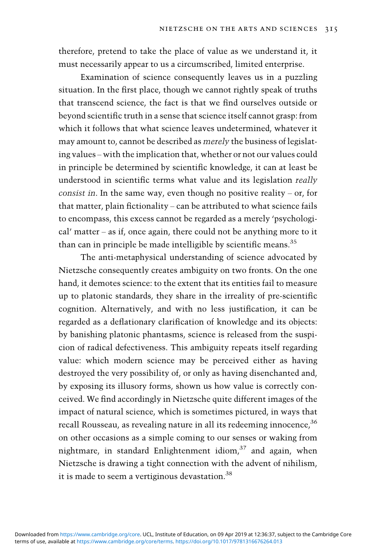therefore, pretend to take the place of value as we understand it, it must necessarily appear to us a circumscribed, limited enterprise.

Examination of science consequently leaves us in a puzzling situation. In the first place, though we cannot rightly speak of truths that transcend science, the fact is that we find ourselves outside or beyond scientific truth in a sense that science itself cannot grasp: from which it follows that what science leaves undetermined, whatever it may amount to, cannot be described as merely the business of legislating values – with the implication that, whether or not our values could in principle be determined by scientific knowledge, it can at least be understood in scientific terms what value and its legislation really consist in. In the same way, even though no positive reality – or, for that matter, plain fictionality – can be attributed to what science fails to encompass, this excess cannot be regarded as a merely 'psychological' matter – as if, once again, there could not be anything more to it than can in principle be made intelligible by scientific means.<sup>35</sup>

The anti-metaphysical understanding of science advocated by Nietzsche consequently creates ambiguity on two fronts. On the one hand, it demotes science: to the extent that its entities fail to measure up to platonic standards, they share in the irreality of pre-scientific cognition. Alternatively, and with no less justification, it can be regarded as a deflationary clarification of knowledge and its objects: by banishing platonic phantasms, science is released from the suspicion of radical defectiveness. This ambiguity repeats itself regarding value: which modern science may be perceived either as having destroyed the very possibility of, or only as having disenchanted and, by exposing its illusory forms, shown us how value is correctly conceived. We find accordingly in Nietzsche quite different images of the impact of natural science, which is sometimes pictured, in ways that recall Rousseau, as revealing nature in all its redeeming innocence, <sup>36</sup> on other occasions as a simple coming to our senses or waking from nightmare, in standard Enlightenment idiom, $37$  and again, when Nietzsche is drawing a tight connection with the advent of nihilism, it is made to seem a vertiginous devastation.<sup>38</sup>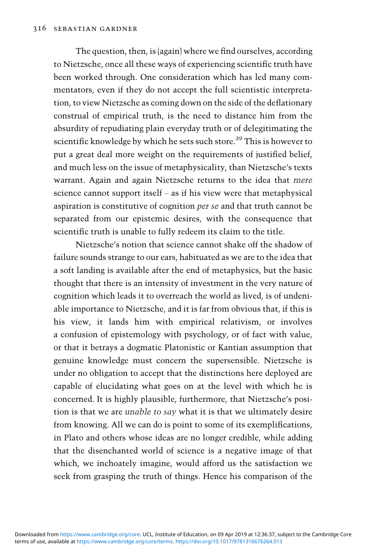The question, then, is (again) where we find ourselves, according to Nietzsche, once all these ways of experiencing scientific truth have been worked through. One consideration which has led many commentators, even if they do not accept the full scientistic interpretation, to view Nietzsche as coming down on the side of the deflationary construal of empirical truth, is the need to distance him from the absurdity of repudiating plain everyday truth or of delegitimating the scientific knowledge by which he sets such store.<sup>39</sup> This is however to put a great deal more weight on the requirements of justified belief, and much less on the issue of metaphysicality, than Nietzsche's texts warrant. Again and again Nietzsche returns to the idea that mere science cannot support itself – as if his view were that metaphysical aspiration is constitutive of cognition per se and that truth cannot be separated from our epistemic desires, with the consequence that scientific truth is unable to fully redeem its claim to the title.

Nietzsche's notion that science cannot shake off the shadow of failure sounds strange to our ears, habituated as we are to the idea that a soft landing is available after the end of metaphysics, but the basic thought that there is an intensity of investment in the very nature of cognition which leads it to overreach the world as lived, is of undeniable importance to Nietzsche, and it is far from obvious that, if this is his view, it lands him with empirical relativism, or involves a confusion of epistemology with psychology, or of fact with value, or that it betrays a dogmatic Platonistic or Kantian assumption that genuine knowledge must concern the supersensible. Nietzsche is under no obligation to accept that the distinctions here deployed are capable of elucidating what goes on at the level with which he is concerned. It is highly plausible, furthermore, that Nietzsche's position is that we are unable to say what it is that we ultimately desire from knowing. All we can do is point to some of its exemplifications, in Plato and others whose ideas are no longer credible, while adding that the disenchanted world of science is a negative image of that which, we inchoately imagine, would afford us the satisfaction we seek from grasping the truth of things. Hence his comparison of the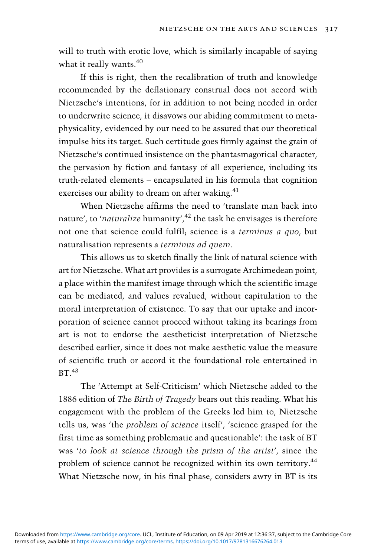will to truth with erotic love, which is similarly incapable of saying what it really wants.<sup>40</sup>

If this is right, then the recalibration of truth and knowledge recommended by the deflationary construal does not accord with Nietzsche's intentions, for in addition to not being needed in order to underwrite science, it disavows our abiding commitment to metaphysicality, evidenced by our need to be assured that our theoretical impulse hits its target. Such certitude goes firmly against the grain of Nietzsche's continued insistence on the phantasmagorical character, the pervasion by fiction and fantasy of all experience, including its truth-related elements – encapsulated in his formula that cognition exercises our ability to dream on after waking.<sup>41</sup>

When Nietzsche affirms the need to 'translate man back into nature', to 'naturalize humanity',<sup>42</sup> the task he envisages is therefore not one that science could fulfil; science is a terminus a quo, but naturalisation represents a terminus ad quem.

This allows us to sketch finally the link of natural science with art for Nietzsche. What art provides is a surrogate Archimedean point, a place within the manifest image through which the scientific image can be mediated, and values revalued, without capitulation to the moral interpretation of existence. To say that our uptake and incorporation of science cannot proceed without taking its bearings from art is not to endorse the aestheticist interpretation of Nietzsche described earlier, since it does not make aesthetic value the measure of scientific truth or accord it the foundational role entertained in  $BT.43$ 

The 'Attempt at Self-Criticism' which Nietzsche added to the 1886 edition of The Birth of Tragedy bears out this reading. What his engagement with the problem of the Greeks led him to, Nietzsche tells us, was 'the problem of science itself', 'science grasped for the first time as something problematic and questionable': the task of BT was 'to look at science through the prism of the artist', since the problem of science cannot be recognized within its own territory.<sup>44</sup> What Nietzsche now, in his final phase, considers awry in BT is its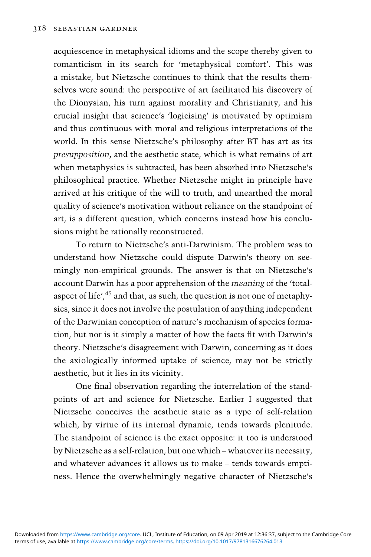acquiescence in metaphysical idioms and the scope thereby given to romanticism in its search for 'metaphysical comfort'. This was a mistake, but Nietzsche continues to think that the results themselves were sound: the perspective of art facilitated his discovery of the Dionysian, his turn against morality and Christianity, and his crucial insight that science's 'logicising' is motivated by optimism and thus continuous with moral and religious interpretations of the world. In this sense Nietzsche's philosophy after BT has art as its presupposition, and the aesthetic state, which is what remains of art when metaphysics is subtracted, has been absorbed into Nietzsche's philosophical practice. Whether Nietzsche might in principle have arrived at his critique of the will to truth, and unearthed the moral quality of science's motivation without reliance on the standpoint of art, is a different question, which concerns instead how his conclusions might be rationally reconstructed.

To return to Nietzsche's anti-Darwinism. The problem was to understand how Nietzsche could dispute Darwin's theory on seemingly non-empirical grounds. The answer is that on Nietzsche's account Darwin has a poor apprehension of the meaning of the 'totalaspect of life',<sup>45</sup> and that, as such, the question is not one of metaphysics, since it does not involve the postulation of anything independent of the Darwinian conception of nature's mechanism of species formation, but nor is it simply a matter of how the facts fit with Darwin's theory. Nietzsche's disagreement with Darwin, concerning as it does the axiologically informed uptake of science, may not be strictly aesthetic, but it lies in its vicinity.

One final observation regarding the interrelation of the standpoints of art and science for Nietzsche. Earlier I suggested that Nietzsche conceives the aesthetic state as a type of self-relation which, by virtue of its internal dynamic, tends towards plenitude. The standpoint of science is the exact opposite: it too is understood by Nietzsche as a self-relation, but one which – whatever its necessity, and whatever advances it allows us to make – tends towards emptiness. Hence the overwhelmingly negative character of Nietzsche's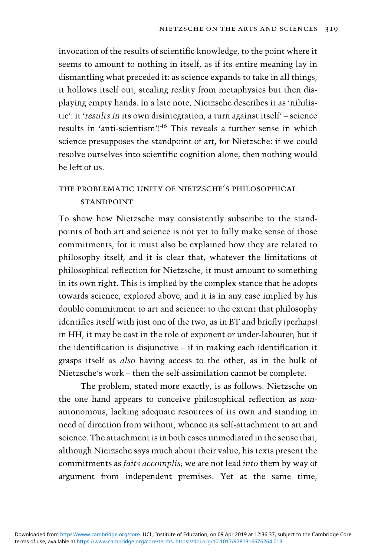invocation of the results of scientific knowledge, to the point where it seems to amount to nothing in itself, as if its entire meaning lay in dismantling what preceded it: as science expands to take in all things, it hollows itself out, stealing reality from metaphysics but then displaying empty hands. In a late note, Nietzsche describes it as 'nihilistic': it 'results in its own disintegration, a turn against itself' – science results in 'anti-scientism'! <sup>46</sup> This reveals a further sense in which science presupposes the standpoint of art, for Nietzsche: if we could resolve ourselves into scientific cognition alone, then nothing would be left of us.

## the problematic unity of nietzsche's philosophical **STANDPOINT**

To show how Nietzsche may consistently subscribe to the standpoints of both art and science is not yet to fully make sense of those commitments, for it must also be explained how they are related to philosophy itself, and it is clear that, whatever the limitations of philosophical reflection for Nietzsche, it must amount to something in its own right. This is implied by the complex stance that he adopts towards science, explored above, and it is in any case implied by his double commitment to art and science: to the extent that philosophy identifies itself with just one of the two, as in BT and briefly (perhaps) in HH, it may be cast in the role of exponent or under-labourer; but if the identification is disjunctive – if in making each identification it grasps itself as also having access to the other, as in the bulk of Nietzsche's work – then the self-assimilation cannot be complete.

The problem, stated more exactly, is as follows. Nietzsche on the one hand appears to conceive philosophical reflection as nonautonomous, lacking adequate resources of its own and standing in need of direction from without, whence its self-attachment to art and science. The attachment is in both cases unmediated in the sense that, although Nietzsche says much about their value, his texts present the commitments as faits accomplis; we are not lead into them by way of argument from independent premises. Yet at the same time,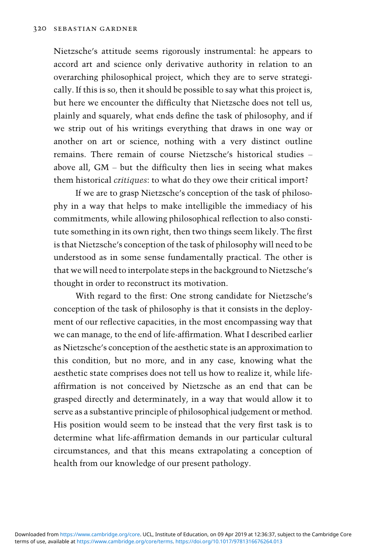Nietzsche's attitude seems rigorously instrumental: he appears to accord art and science only derivative authority in relation to an overarching philosophical project, which they are to serve strategically. If this is so, then it should be possible to say what this project is, but here we encounter the difficulty that Nietzsche does not tell us, plainly and squarely, what ends define the task of philosophy, and if we strip out of his writings everything that draws in one way or another on art or science, nothing with a very distinct outline remains. There remain of course Nietzsche's historical studies – above all, GM – but the difficulty then lies in seeing what makes them historical critiques: to what do they owe their critical import?

If we are to grasp Nietzsche's conception of the task of philosophy in a way that helps to make intelligible the immediacy of his commitments, while allowing philosophical reflection to also constitute something in its own right, then two things seem likely. The first is that Nietzsche's conception of the task of philosophy will need to be understood as in some sense fundamentally practical. The other is that we will need to interpolate steps in the background to Nietzsche's thought in order to reconstruct its motivation.

With regard to the first: One strong candidate for Nietzsche's conception of the task of philosophy is that it consists in the deployment of our reflective capacities, in the most encompassing way that we can manage, to the end of life-affirmation. What I described earlier as Nietzsche's conception of the aesthetic state is an approximation to this condition, but no more, and in any case, knowing what the aesthetic state comprises does not tell us how to realize it, while lifeaffirmation is not conceived by Nietzsche as an end that can be grasped directly and determinately, in a way that would allow it to serve as a substantive principle of philosophical judgement or method. His position would seem to be instead that the very first task is to determine what life-affirmation demands in our particular cultural circumstances, and that this means extrapolating a conception of health from our knowledge of our present pathology.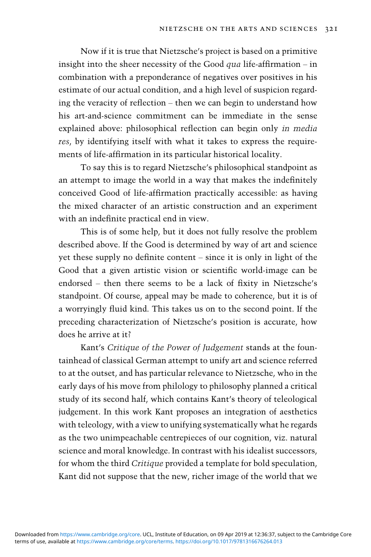Now if it is true that Nietzsche's project is based on a primitive insight into the sheer necessity of the Good  $qua$  life-affirmation – in combination with a preponderance of negatives over positives in his estimate of our actual condition, and a high level of suspicion regarding the veracity of reflection – then we can begin to understand how his art-and-science commitment can be immediate in the sense explained above: philosophical reflection can begin only in media res, by identifying itself with what it takes to express the requirements of life-affirmation in its particular historical locality.

To say this is to regard Nietzsche's philosophical standpoint as an attempt to image the world in a way that makes the indefinitely conceived Good of life-affirmation practically accessible: as having the mixed character of an artistic construction and an experiment with an indefinite practical end in view.

This is of some help, but it does not fully resolve the problem described above. If the Good is determined by way of art and science yet these supply no definite content – since it is only in light of the Good that a given artistic vision or scientific world-image can be endorsed – then there seems to be a lack of fixity in Nietzsche's standpoint. Of course, appeal may be made to coherence, but it is of a worryingly fluid kind. This takes us on to the second point. If the preceding characterization of Nietzsche's position is accurate, how does he arrive at it?

Kant's Critique of the Power of Judgement stands at the fountainhead of classical German attempt to unify art and science referred to at the outset, and has particular relevance to Nietzsche, who in the early days of his move from philology to philosophy planned a critical study of its second half, which contains Kant's theory of teleological judgement. In this work Kant proposes an integration of aesthetics with teleology, with a view to unifying systematically what he regards as the two unimpeachable centrepieces of our cognition, viz. natural science and moral knowledge. In contrast with his idealist successors, for whom the third Critique provided a template for bold speculation, Kant did not suppose that the new, richer image of the world that we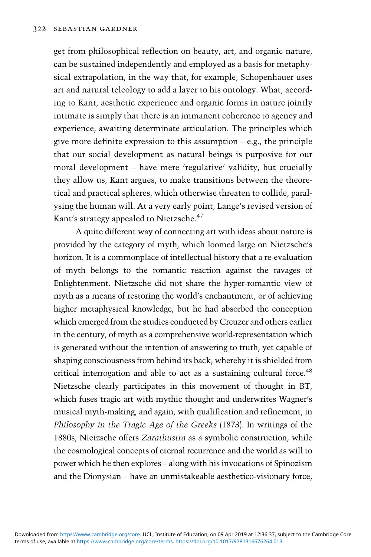get from philosophical reflection on beauty, art, and organic nature, can be sustained independently and employed as a basis for metaphysical extrapolation, in the way that, for example, Schopenhauer uses art and natural teleology to add a layer to his ontology. What, according to Kant, aesthetic experience and organic forms in nature jointly intimate is simply that there is an immanent coherence to agency and experience, awaiting determinate articulation. The principles which give more definite expression to this assumption  $-e.g.,$  the principle that our social development as natural beings is purposive for our moral development – have mere 'regulative' validity, but crucially they allow us, Kant argues, to make transitions between the theoretical and practical spheres, which otherwise threaten to collide, paralysing the human will. At a very early point, Lange's revised version of Kant's strategy appealed to Nietzsche.<sup>47</sup>

A quite different way of connecting art with ideas about nature is provided by the category of myth, which loomed large on Nietzsche's horizon. It is a commonplace of intellectual history that a re-evaluation of myth belongs to the romantic reaction against the ravages of Enlightenment. Nietzsche did not share the hyper-romantic view of myth as a means of restoring the world's enchantment, or of achieving higher metaphysical knowledge, but he had absorbed the conception which emerged from the studies conducted by Creuzer and others earlier in the century, of myth as a comprehensive world-representation which is generated without the intention of answering to truth, yet capable of shaping consciousness from behind its back; whereby it is shielded from critical interrogation and able to act as a sustaining cultural force.<sup>48</sup> Nietzsche clearly participates in this movement of thought in BT, which fuses tragic art with mythic thought and underwrites Wagner's musical myth-making, and again, with qualification and refinement, in Philosophy in the Tragic Age of the Greeks (1873). In writings of the 1880s, Nietzsche offers Zarathustra as a symbolic construction, while the cosmological concepts of eternal recurrence and the world as will to power which he then explores – along with his invocations of Spinozism and the Dionysian – have an unmistakeable aesthetico-visionary force,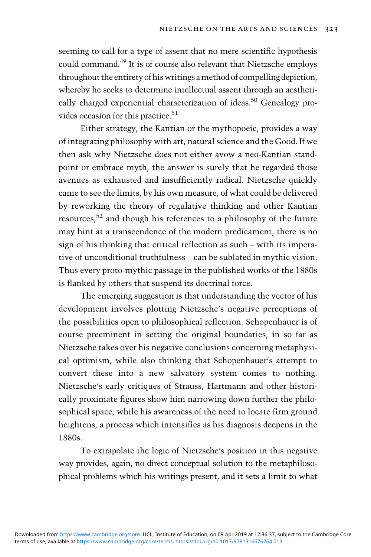seeming to call for a type of assent that no mere scientific hypothesis could command.49 It is of course also relevant that Nietzsche employs throughout the entirety of his writings amethod of compelling depiction, whereby he seeks to determine intellectual assent through an aesthetically charged experiential characterization of ideas.<sup>50</sup> Genealogy provides occasion for this practice.<sup>51</sup>

Either strategy, the Kantian or the mythopoeic, provides a way of integrating philosophy with art, natural science and the Good. If we then ask why Nietzsche does not either avow a neo-Kantian standpoint or embrace myth, the answer is surely that he regarded those avenues as exhausted and insufficiently radical. Nietzsche quickly came to see the limits, by his own measure, of what could be delivered by reworking the theory of regulative thinking and other Kantian resources,<sup>52</sup> and though his references to a philosophy of the future may hint at a transcendence of the modern predicament, there is no sign of his thinking that critical reflection as such – with its imperative of unconditional truthfulness – can be sublated in mythic vision. Thus every proto-mythic passage in the published works of the 1880s is flanked by others that suspend its doctrinal force.

The emerging suggestion is that understanding the vector of his development involves plotting Nietzsche's negative perceptions of the possibilities open to philosophical reflection. Schopenhauer is of course preeminent in setting the original boundaries, in so far as Nietzsche takes over his negative conclusions concerning metaphysical optimism, while also thinking that Schopenhauer's attempt to convert these into a new salvatory system comes to nothing. Nietzsche's early critiques of Strauss, Hartmann and other historically proximate figures show him narrowing down further the philosophical space, while his awareness of the need to locate firm ground heightens, a process which intensifies as his diagnosis deepens in the 1880s.

To extrapolate the logic of Nietzsche's position in this negative way provides, again, no direct conceptual solution to the metaphilosophical problems which his writings present, and it sets a limit to what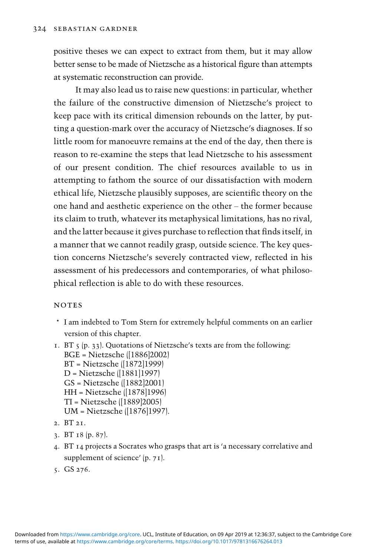positive theses we can expect to extract from them, but it may allow better sense to be made of Nietzsche as a historical figure than attempts at systematic reconstruction can provide.

It may also lead us to raise new questions: in particular, whether the failure of the constructive dimension of Nietzsche's project to keep pace with its critical dimension rebounds on the latter, by putting a question-mark over the accuracy of Nietzsche's diagnoses. If so little room for manoeuvre remains at the end of the day, then there is reason to re-examine the steps that lead Nietzsche to his assessment of our present condition. The chief resources available to us in attempting to fathom the source of our dissatisfaction with modern ethical life, Nietzsche plausibly supposes, are scientific theory on the one hand and aesthetic experience on the other – the former because its claim to truth, whatever its metaphysical limitations, has no rival, and the latter because it gives purchase to reflection that finds itself, in a manner that we cannot readily grasp, outside science. The key question concerns Nietzsche's severely contracted view, reflected in his assessment of his predecessors and contemporaries, of what philosophical reflection is able to do with these resources.

#### **NOTES**

- \* I am indebted to Tom Stern for extremely helpful comments on an earlier version of this chapter.
- 1. BT 5 (p. 33). Quotations of Nietzsche's texts are from the following: BGE = Nietzsche ([1886]2002) BT = Nietzsche ([1872]1999) D = Nietzsche ([1881]1997) GS = Nietzsche ([1882]2001) HH = Nietzsche ([1878]1996) TI = Nietzsche ([1889]2005) UM = Nietzsche ([1876]1997). 2. BT 21.
- 3. BT 18 (p. 87).
- 4. BT 14 projects a Socrates who grasps that art is 'a necessary correlative and supplement of science' (p. 71).
- 5. GS 276.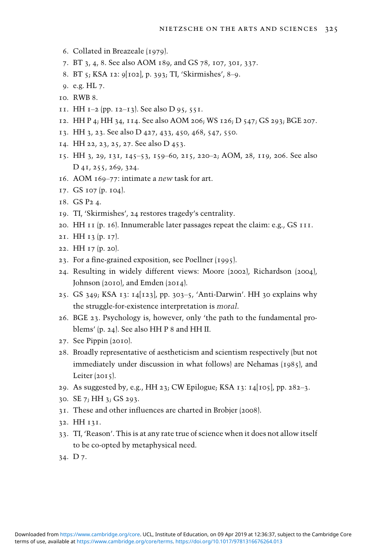- . Collated in Breazeale (1979).
- . BT 3, 4, 8. See also AOM 189, and GS 78, 107, 301, 337.
- . BT 5; KSA 12: 9[102], p. 393; TI, 'Skirmishes', 8–9.
- . e.g. HL 7.
- . RWB 8.
- 11. HH  $I=2$  (pp. 12–13). See also D 95, 551.
- . HH P 4; HH 34, 114. See also AOM 206; WS 126; D 547; GS 293; BGE 207.
- . HH 3, 23. See also D 427, 433, 450, 468, 547, 550.
- . HH 22, 23, 25, 27. See also D 453.
- . HH 3, 29, 131, 145–53, 159–60, 215, 220–2; AOM, 28, 119, 206. See also D 41, 255, 269, 324.
- . AOM 169–77: intimate a new task for art.
- . GS 107 (p. 104).
- . GS P2 4.
- . TI, 'Skirmishes', 24 restores tragedy's centrality.
- . HH 11 (p. 16). Innumerable later passages repeat the claim: e.g., GS 111.
- . HH 13 (p. 17).
- . HH 17 (p. 20).
- . For a fine-grained exposition, see Poellner (1995).
- . Resulting in widely different views: Moore (2002), Richardson (2004), Johnson (2010), and Emden (2014).
- . GS 349; KSA 13: 14[123], pp. 303–5, 'Anti-Darwin'. HH 30 explains why the struggle-for-existence interpretation is moral.
- . BGE 23. Psychology is, however, only 'the path to the fundamental problems' (p. 24). See also HH P 8 and HH II.
- . See Pippin (2010).
- . Broadly representative of aestheticism and scientism respectively (but not immediately under discussion in what follows) are Nehamas (1985), and Leiter (2015).
- . As suggested by, e.g., HH 23; CW Epilogue; KSA 13: 14[105], pp. 282–3.
- . SE 7; HH 3; GS 293.
- . These and other influences are charted in Brobjer (2008).
- . HH 131.
- . TI, 'Reason'. This is at any rate true of science when it does not allow itself to be co-opted by metaphysical need.
- . D 7.